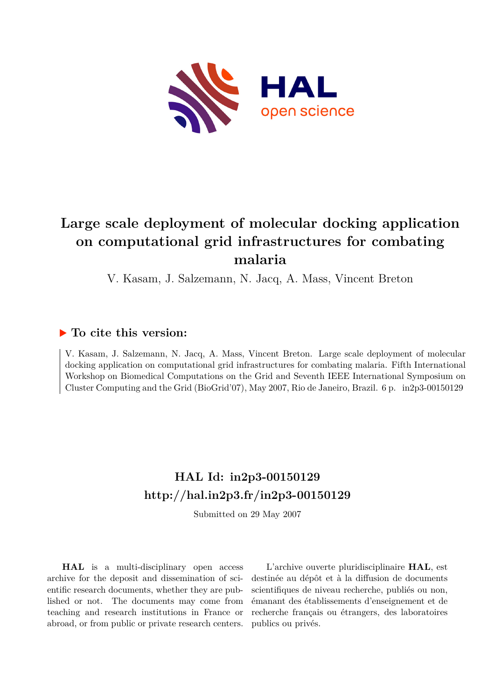

# **Large scale deployment of molecular docking application on computational grid infrastructures for combating malaria**

V. Kasam, J. Salzemann, N. Jacq, A. Mass, Vincent Breton

# **To cite this version:**

V. Kasam, J. Salzemann, N. Jacq, A. Mass, Vincent Breton. Large scale deployment of molecular docking application on computational grid infrastructures for combating malaria. Fifth International Workshop on Biomedical Computations on the Grid and Seventh IEEE International Symposium on Cluster Computing and the Grid (BioGrid'07), May 2007, Rio de Janeiro, Brazil. 6 p. in2p3-00150129

# **HAL Id: in2p3-00150129 <http://hal.in2p3.fr/in2p3-00150129>**

Submitted on 29 May 2007

**HAL** is a multi-disciplinary open access archive for the deposit and dissemination of scientific research documents, whether they are published or not. The documents may come from teaching and research institutions in France or abroad, or from public or private research centers.

L'archive ouverte pluridisciplinaire **HAL**, est destinée au dépôt et à la diffusion de documents scientifiques de niveau recherche, publiés ou non, émanant des établissements d'enseignement et de recherche français ou étrangers, des laboratoires publics ou privés.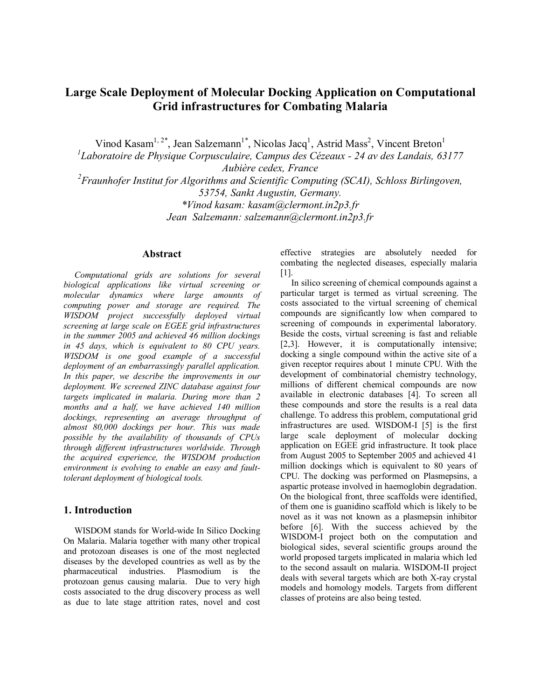# **Large Scale Deployment of Molecular Docking Application on Computational Grid infrastructures for Combating Malaria**

Vinod Kasam<sup>1, 2\*</sup>, Jean Salzemann<sup>1\*</sup>, Nicolas Jacq<sup>1</sup>, Astrid Mass<sup>2</sup>, Vincent Breton<sup>1</sup>

*1 Laboratoire de Physique Corpusculaire, Campus des Cézeaux - 24 av des Landais, 63177 Aubière cedex, France* 

*2 Fraunhofer Institut for Algorithms and Scientific Computing (SCAI), Schloss Birlingoven, 53754, Sankt Augustin, Germany.* 

*\*Vinod kasam: kasam@clermont.in2p3.fr Jean Salzemann: salzemann@clermont.in2p3.fr* 

### **Abstract**

*Computational grids are solutions for several biological applications like virtual screening or molecular dynamics where large amounts of computing power and storage are required. The WISDOM project successfully deployed virtual screening at large scale on EGEE grid infrastructures in the summer 2005 and achieved 46 million dockings in 45 days, which is equivalent to 80 CPU years. WISDOM is one good example of a successful deployment of an embarrassingly parallel application. In this paper, we describe the improvements in our deployment. We screened ZINC database against four targets implicated in malaria. During more than 2 months and a half, we have achieved 140 million dockings, representing an average throughput of almost 80,000 dockings per hour. This was made possible by the availability of thousands of CPUs through different infrastructures worldwide. Through the acquired experience, the WISDOM production environment is evolving to enable an easy and faulttolerant deployment of biological tools.* 

## **1. Introduction**

WISDOM stands for World-wide In Silico Docking On Malaria. Malaria together with many other tropical and protozoan diseases is one of the most neglected diseases by the developed countries as well as by the pharmaceutical industries. Plasmodium is the protozoan genus causing malaria. Due to very high costs associated to the drug discovery process as well as due to late stage attrition rates, novel and cost effective strategies are absolutely needed for combating the neglected diseases, especially malaria [1].

In silico screening of chemical compounds against a particular target is termed as virtual screening. The costs associated to the virtual screening of chemical compounds are significantly low when compared to screening of compounds in experimental laboratory. Beside the costs, virtual screening is fast and reliable [2,3]. However, it is computationally intensive; docking a single compound within the active site of a given receptor requires about 1 minute CPU. With the development of combinatorial chemistry technology, millions of different chemical compounds are now available in electronic databases [4]. To screen all these compounds and store the results is a real data challenge. To address this problem, computational grid infrastructures are used. WISDOM-I [5] is the first large scale deployment of molecular docking application on EGEE grid infrastructure. It took place from August 2005 to September 2005 and achieved 41 million dockings which is equivalent to 80 years of CPU. The docking was performed on Plasmepsins, a aspartic protease involved in haemoglobin degradation. On the biological front, three scaffolds were identified, of them one is guanidino scaffold which is likely to be novel as it was not known as a plasmepsin inhibitor before [6]. With the success achieved by the WISDOM-I project both on the computation and biological sides, several scientific groups around the world proposed targets implicated in malaria which led to the second assault on malaria. WISDOM-II project deals with several targets which are both X-ray crystal models and homology models. Targets from different classes of proteins are also being tested.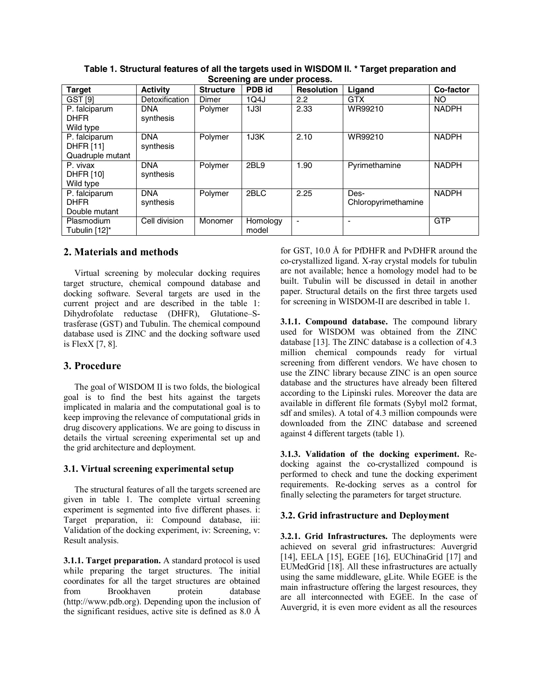| Screening are under process. |                 |                  |                  |                          |                              |              |  |
|------------------------------|-----------------|------------------|------------------|--------------------------|------------------------------|--------------|--|
| <b>Target</b>                | <b>Activity</b> | <b>Structure</b> | PDB id           | <b>Resolution</b>        | Ligand                       | Co-factor    |  |
| GST [9]                      | Detoxification  | Dimer            | 1Q4J             | $2.2^{\circ}$            | <b>GTX</b>                   | NO.          |  |
| P. falciparum                | <b>DNA</b>      | Polymer          | 1J <sub>31</sub> | 2.33                     | WR99210                      | <b>NADPH</b> |  |
| <b>DHFR</b>                  | synthesis       |                  |                  |                          |                              |              |  |
| Wild type                    |                 |                  |                  |                          |                              |              |  |
| P. falciparum                | <b>DNA</b>      | Polymer          | 1J3K             | 2.10                     | WR99210                      | <b>NADPH</b> |  |
| <b>DHFR [11]</b>             | synthesis       |                  |                  |                          |                              |              |  |
| Quadruple mutant             |                 |                  |                  |                          |                              |              |  |
| P. vivax                     | <b>DNA</b>      | Polymer          | 2BL9             | 1.90                     | Pyrimethamine                | <b>NADPH</b> |  |
| <b>DHFR</b> [10]             | synthesis       |                  |                  |                          |                              |              |  |
| Wild type                    |                 |                  |                  |                          |                              |              |  |
| P. falciparum                | <b>DNA</b>      | Polymer          | 2BLC             | 2.25                     | Des-                         | <b>NADPH</b> |  |
| <b>DHFR</b>                  | synthesis       |                  |                  |                          | Chloropyrimethamine          |              |  |
| Double mutant                |                 |                  |                  |                          |                              |              |  |
| Plasmodium                   | Cell division   | Monomer          | Homology         | $\overline{\phantom{a}}$ | $\qquad \qquad \blacksquare$ | <b>GTP</b>   |  |
| Tubulin [12]*                |                 |                  | model            |                          |                              |              |  |

**Table 1. Structural features of all the targets used in WISDOM II. \* Target preparation and Screening are under process.** 

## **2. Materials and methods**

Virtual screening by molecular docking requires target structure, chemical compound database and docking software. Several targets are used in the current project and are described in the table 1: Dihydrofolate reductase (DHFR), Glutatione–Strasferase (GST) and Tubulin. The chemical compound database used is ZINC and the docking software used is FlexX [7, 8].

### **3. Procedure**

The goal of WISDOM II is two folds, the biological goal is to find the best hits against the targets implicated in malaria and the computational goal is to keep improving the relevance of computational grids in drug discovery applications. We are going to discuss in details the virtual screening experimental set up and the grid architecture and deployment.

#### **3.1. Virtual screening experimental setup**

The structural features of all the targets screened are given in table 1. The complete virtual screening experiment is segmented into five different phases. i: Target preparation, ii: Compound database, iii: Validation of the docking experiment, iv: Screening, v: Result analysis.

**3.1.1. Target preparation.** A standard protocol is used while preparing the target structures. The initial coordinates for all the target structures are obtained from Brookhaven protein database (http://www.pdb.org). Depending upon the inclusion of the significant residues, active site is defined as 8.0 Å for GST, 10.0 Å for PfDHFR and PvDHFR around the co-crystallized ligand. X-ray crystal models for tubulin are not available; hence a homology model had to be built. Tubulin will be discussed in detail in another paper. Structural details on the first three targets used for screening in WISDOM-II are described in table 1.

**3.1.1. Compound database.** The compound library used for WISDOM was obtained from the ZINC database [13]. The ZINC database is a collection of 4.3 million chemical compounds ready for virtual screening from different vendors. We have chosen to use the ZINC library because ZINC is an open source database and the structures have already been filtered according to the Lipinski rules. Moreover the data are available in different file formats (Sybyl mol2 format, sdf and smiles). A total of 4.3 million compounds were downloaded from the ZINC database and screened against 4 different targets (table 1).

**3.1.3. Validation of the docking experiment.** Redocking against the co-crystallized compound is performed to check and tune the docking experiment requirements. Re-docking serves as a control for finally selecting the parameters for target structure.

### **3.2. Grid infrastructure and Deployment**

**3.2.1. Grid Infrastructures.** The deployments were achieved on several grid infrastructures: Auvergrid [14], EELA [15], EGEE [16], EUChinaGrid [17] and EUMedGrid [18]. All these infrastructures are actually using the same middleware, gLite. While EGEE is the main infrastructure offering the largest resources, they are all interconnected with EGEE. In the case of Auvergrid, it is even more evident as all the resources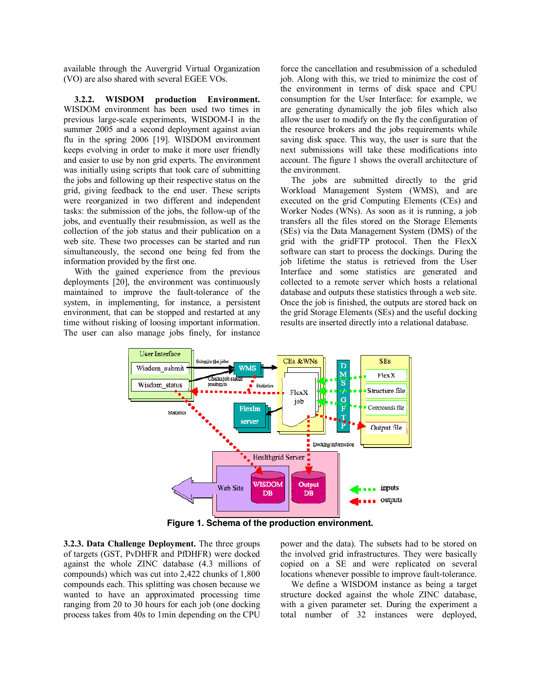available through the Auvergrid Virtual Organization (VO) are also shared with several EGEE VOs.

**3.2.2. WISDOM production Environment.**  WISDOM environment has been used two times in previous large-scale experiments, WISDOM-I in the summer 2005 and a second deployment against avian flu in the spring 2006 [19]. WISDOM environment keeps evolving in order to make it more user friendly and easier to use by non grid experts. The environment was initially using scripts that took care of submitting the jobs and following up their respective status on the grid, giving feedback to the end user. These scripts were reorganized in two different and independent tasks: the submission of the jobs, the follow-up of the jobs, and eventually their resubmission, as well as the collection of the job status and their publication on a web site. These two processes can be started and run simultaneously, the second one being fed from the information provided by the first one.

With the gained experience from the previous deployments [20], the environment was continuously maintained to improve the fault-tolerance of the system, in implementing, for instance, a persistent environment, that can be stopped and restarted at any time without risking of loosing important information. The user can also manage jobs finely, for instance

force the cancellation and resubmission of a scheduled job. Along with this, we tried to minimize the cost of the environment in terms of disk space and CPU consumption for the User Interface: for example, we are generating dynamically the job files which also allow the user to modify on the fly the configuration of the resource brokers and the jobs requirements while saving disk space. This way, the user is sure that the next submissions will take these modifications into account. The figure 1 shows the overall architecture of the environment.

The jobs are submitted directly to the grid Workload Management System (WMS), and are executed on the grid Computing Elements (CEs) and Worker Nodes (WNs). As soon as it is running, a job transfers all the files stored on the Storage Elements (SEs) via the Data Management System (DMS) of the grid with the gridFTP protocol. Then the FlexX software can start to process the dockings. During the job lifetime the status is retrieved from the User Interface and some statistics are generated and collected to a remote server which hosts a relational database and outputs these statistics through a web site. Once the job is finished, the outputs are stored back on the grid Storage Elements (SEs) and the useful docking results are inserted directly into a relational database.



**Figure 1. Schema of the production environment.** 

**3.2.3. Data Challenge Deployment.** The three groups of targets (GST, PvDHFR and PfDHFR) were docked against the whole ZINC database (4.3 millions of compounds) which was cut into 2,422 chunks of 1,800 compounds each. This splitting was chosen because we wanted to have an approximated processing time ranging from 20 to 30 hours for each job (one docking process takes from 40s to 1min depending on the CPU

power and the data). The subsets had to be stored on the involved grid infrastructures. They were basically copied on a SE and were replicated on several locations whenever possible to improve fault-tolerance.

We define a WISDOM instance as being a target structure docked against the whole ZINC database, with a given parameter set. During the experiment a total number of 32 instances were deployed,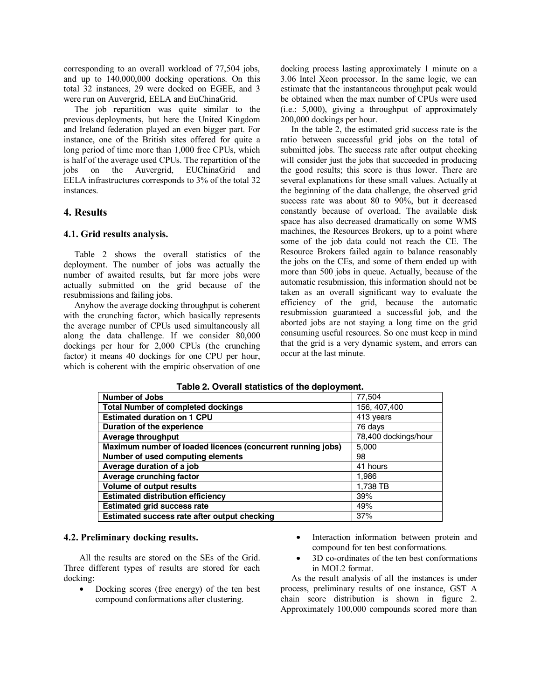corresponding to an overall workload of 77,504 jobs, and up to 140,000,000 docking operations. On this total 32 instances, 29 were docked on EGEE, and 3 were run on Auvergrid, EELA and EuChinaGrid.

The job repartition was quite similar to the previous deployments, but here the United Kingdom and Ireland federation played an even bigger part. For instance, one of the British sites offered for quite a long period of time more than 1,000 free CPUs, which is half of the average used CPUs. The repartition of the jobs on the Auvergrid, EUChinaGrid and EELA infrastructures corresponds to 3% of the total 32 instances.

## **4. Results**

#### **4.1. Grid results analysis.**

Table 2 shows the overall statistics of the deployment. The number of jobs was actually the number of awaited results, but far more jobs were actually submitted on the grid because of the resubmissions and failing jobs.

Anyhow the average docking throughput is coherent with the crunching factor, which basically represents the average number of CPUs used simultaneously all along the data challenge. If we consider 80,000 dockings per hour for 2,000 CPUs (the crunching factor) it means 40 dockings for one CPU per hour, which is coherent with the empiric observation of one

docking process lasting approximately 1 minute on a 3.06 Intel Xeon processor. In the same logic, we can estimate that the instantaneous throughput peak would be obtained when the max number of CPUs were used (i.e.: 5,000), giving a throughput of approximately 200,000 dockings per hour.

In the table 2, the estimated grid success rate is the ratio between successful grid jobs on the total of submitted jobs. The success rate after output checking will consider just the jobs that succeeded in producing the good results; this score is thus lower. There are several explanations for these small values. Actually at the beginning of the data challenge, the observed grid success rate was about 80 to 90%, but it decreased constantly because of overload. The available disk space has also decreased dramatically on some WMS machines, the Resources Brokers, up to a point where some of the job data could not reach the CE. The Resource Brokers failed again to balance reasonably the jobs on the CEs, and some of them ended up with more than 500 jobs in queue. Actually, because of the automatic resubmission, this information should not be taken as an overall significant way to evaluate the efficiency of the grid, because the automatic resubmission guaranteed a successful job, and the aborted jobs are not staying a long time on the grid consuming useful resources. So one must keep in mind that the grid is a very dynamic system, and errors can occur at the last minute.

| <b>Number of Jobs</b>                                       | 77,504               |
|-------------------------------------------------------------|----------------------|
| <b>Total Number of completed dockings</b>                   | 156, 407,400         |
| <b>Estimated duration on 1 CPU</b>                          | 413 years            |
| Duration of the experience                                  | 76 days              |
| <b>Average throughput</b>                                   | 78,400 dockings/hour |
| Maximum number of loaded licences (concurrent running jobs) | 5,000                |
| Number of used computing elements                           | 98                   |
| Average duration of a job                                   | 41 hours             |
| Average crunching factor                                    | 1,986                |
| <b>Volume of output results</b>                             | 1,738 TB             |
| <b>Estimated distribution efficiency</b>                    | 39%                  |
| <b>Estimated grid success rate</b>                          | 49%                  |
| Estimated success rate after output checking                | 37%                  |

#### **Table 2. Overall statistics of the deployment.**

#### **4.2. Preliminary docking results.**

All the results are stored on the SEs of the Grid. Three different types of results are stored for each docking:

- Docking scores (free energy) of the ten best compound conformations after clustering.
- Interaction information between protein and compound for ten best conformations.
- 3D co-ordinates of the ten best conformations in MOL2 format.

As the result analysis of all the instances is under process, preliminary results of one instance, GST A chain score distribution is shown in figure 2. Approximately 100,000 compounds scored more than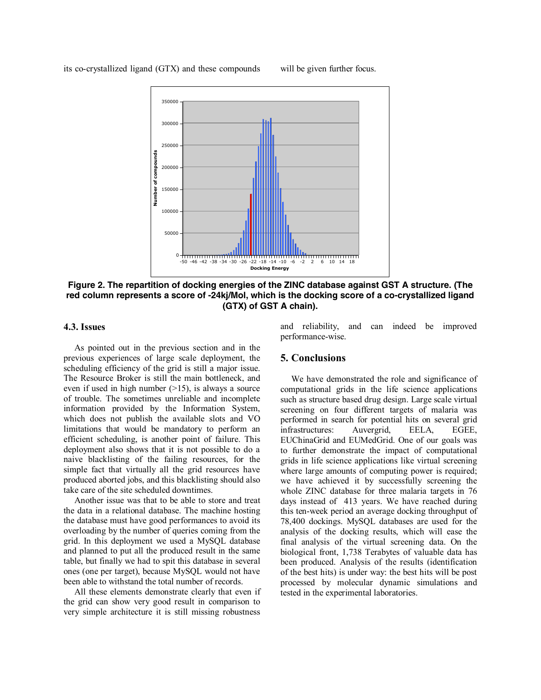# 350000 300000 250000 **Number of compounds** Ë Number of compo 200000 150000 100000 50000 0 -50 -46 -42 -38 -34 -30 -26 -22 -18 -14 -10 -6 -2 2 6 10 14 18 **Docking Energy**

# **Figure 2. The repartition of docking energies of the ZINC database against GST A structure. (The red column represents a score of -24kj/Mol, which is the docking score of a co-crystallized ligand (GTX) of GST A chain).**

#### **4.3. Issues**

As pointed out in the previous section and in the previous experiences of large scale deployment, the scheduling efficiency of the grid is still a major issue. The Resource Broker is still the main bottleneck, and even if used in high number  $(>15)$ , is always a source of trouble. The sometimes unreliable and incomplete information provided by the Information System, which does not publish the available slots and VO limitations that would be mandatory to perform an efficient scheduling, is another point of failure. This deployment also shows that it is not possible to do a naive blacklisting of the failing resources, for the simple fact that virtually all the grid resources have produced aborted jobs, and this blacklisting should also take care of the site scheduled downtimes.

Another issue was that to be able to store and treat the data in a relational database. The machine hosting the database must have good performances to avoid its overloading by the number of queries coming from the grid. In this deployment we used a MySQL database and planned to put all the produced result in the same table, but finally we had to spit this database in several ones (one per target), because MySQL would not have been able to withstand the total number of records.

All these elements demonstrate clearly that even if the grid can show very good result in comparison to very simple architecture it is still missing robustness

and reliability, and can indeed be improved performance-wise.

#### **5. Conclusions**

We have demonstrated the role and significance of computational grids in the life science applications such as structure based drug design. Large scale virtual screening on four different targets of malaria was performed in search for potential hits on several grid infrastructures: Auvergrid, EELA, EGEE, EUChinaGrid and EUMedGrid. One of our goals was to further demonstrate the impact of computational grids in life science applications like virtual screening where large amounts of computing power is required; we have achieved it by successfully screening the whole ZINC database for three malaria targets in 76 days instead of 413 years. We have reached during this ten-week period an average docking throughput of 78,400 dockings. MySQL databases are used for the analysis of the docking results, which will ease the final analysis of the virtual screening data. On the biological front, 1,738 Terabytes of valuable data has been produced. Analysis of the results (identification of the best hits) is under way: the best hits will be post processed by molecular dynamic simulations and tested in the experimental laboratories.

#### its co-crystallized ligand (GTX) and these compounds will be given further focus.